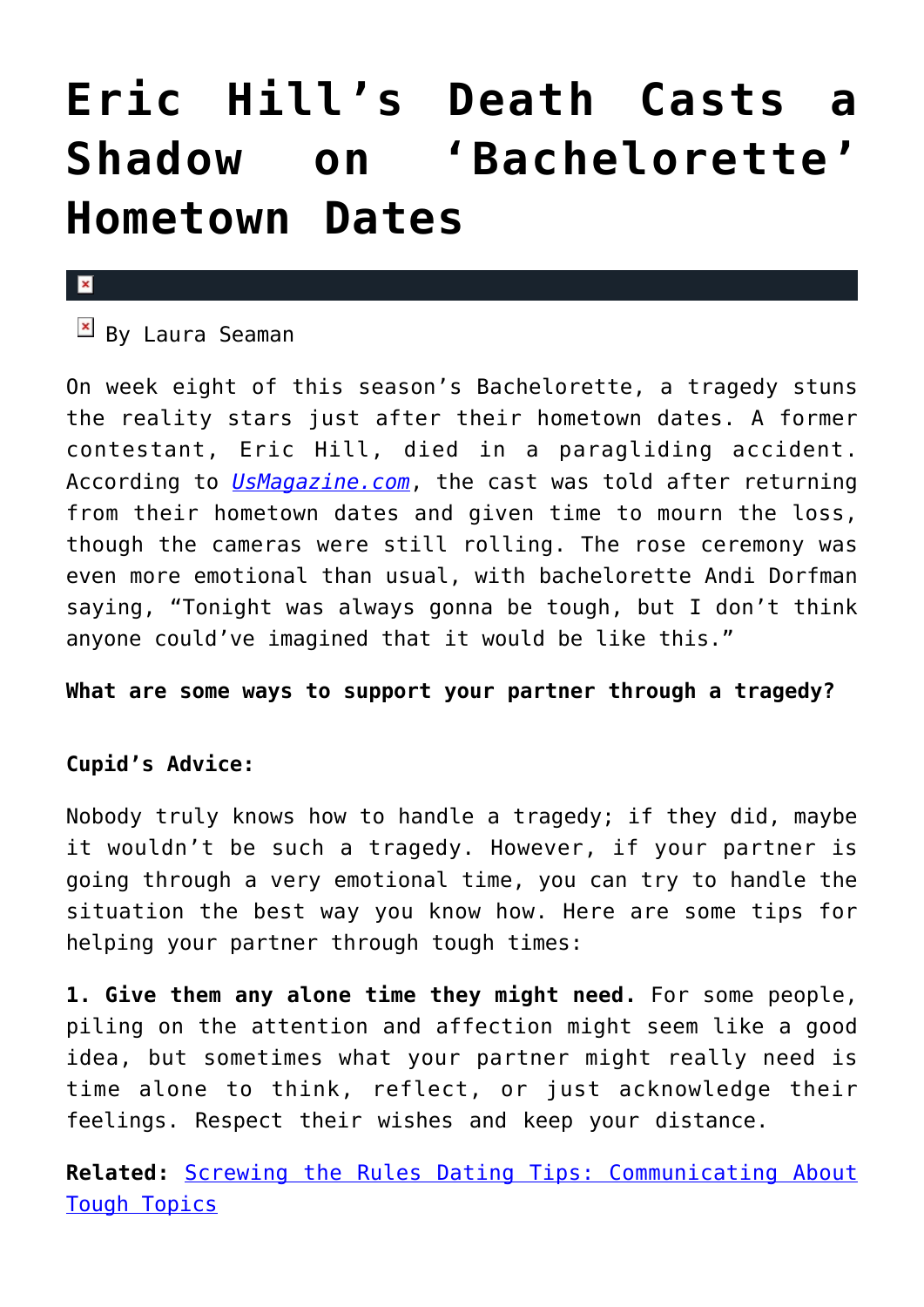## **[Eric Hill's Death Casts a](https://cupidspulse.com/77269/eric-hills-death-bachelorette/) [Shadow on 'Bachelorette'](https://cupidspulse.com/77269/eric-hills-death-bachelorette/) [Hometown Dates](https://cupidspulse.com/77269/eric-hills-death-bachelorette/)**

## $\pmb{\times}$

 $B$  By Laura Seaman

On week eight of this season's Bachelorette, a tragedy stuns the reality stars just after their hometown dates. A former contestant, Eric Hill, died in a paragliding accident. According to *[UsMagazine.com](http://www.usmagazine.com/entertainment/news/bachelorette-recap-eric-hills-death-overshadows-andis-hometown-date-201487)*, the cast was told after returning from their hometown dates and given time to mourn the loss, though the cameras were still rolling. The rose ceremony was even more emotional than usual, with bachelorette Andi Dorfman saying, "Tonight was always gonna be tough, but I don't think anyone could've imagined that it would be like this."

**What are some ways to support your partner through a tragedy?**

## **Cupid's Advice:**

Nobody truly knows how to handle a tragedy; if they did, maybe it wouldn't be such a tragedy. However, if your partner is going through a very emotional time, you can try to handle the situation the best way you know how. Here are some tips for helping your partner through tough times:

**1. Give them any alone time they might need.** For some people, piling on the attention and affection might seem like a good idea, but sometimes what your partner might really need is time alone to think, reflect, or just acknowledge their feelings. Respect their wishes and keep your distance.

**Related:** [Screwing the Rules Dating Tips: Communicating About](http://cupidspulse.com/screwing-the-rules-laurel-house-communicating-about-tough-topics/) [Tough Topics](http://cupidspulse.com/screwing-the-rules-laurel-house-communicating-about-tough-topics/)